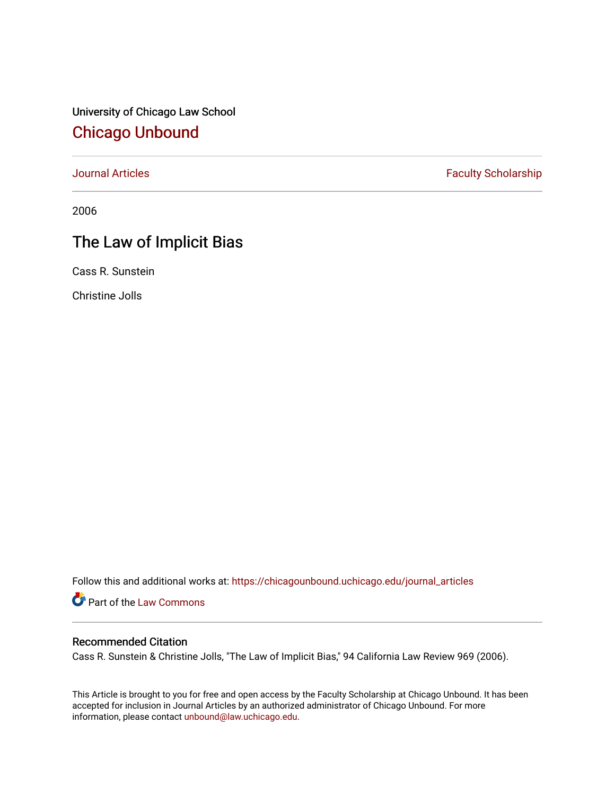University of Chicago Law School [Chicago Unbound](https://chicagounbound.uchicago.edu/)

[Journal Articles](https://chicagounbound.uchicago.edu/journal_articles) **Faculty Scholarship Faculty Scholarship** 

2006

# The Law of Implicit Bias

Cass R. Sunstein

Christine Jolls

Follow this and additional works at: [https://chicagounbound.uchicago.edu/journal\\_articles](https://chicagounbound.uchicago.edu/journal_articles?utm_source=chicagounbound.uchicago.edu%2Fjournal_articles%2F8589&utm_medium=PDF&utm_campaign=PDFCoverPages) 

Part of the [Law Commons](http://network.bepress.com/hgg/discipline/578?utm_source=chicagounbound.uchicago.edu%2Fjournal_articles%2F8589&utm_medium=PDF&utm_campaign=PDFCoverPages)

## Recommended Citation

Cass R. Sunstein & Christine Jolls, "The Law of Implicit Bias," 94 California Law Review 969 (2006).

This Article is brought to you for free and open access by the Faculty Scholarship at Chicago Unbound. It has been accepted for inclusion in Journal Articles by an authorized administrator of Chicago Unbound. For more information, please contact [unbound@law.uchicago.edu](mailto:unbound@law.uchicago.edu).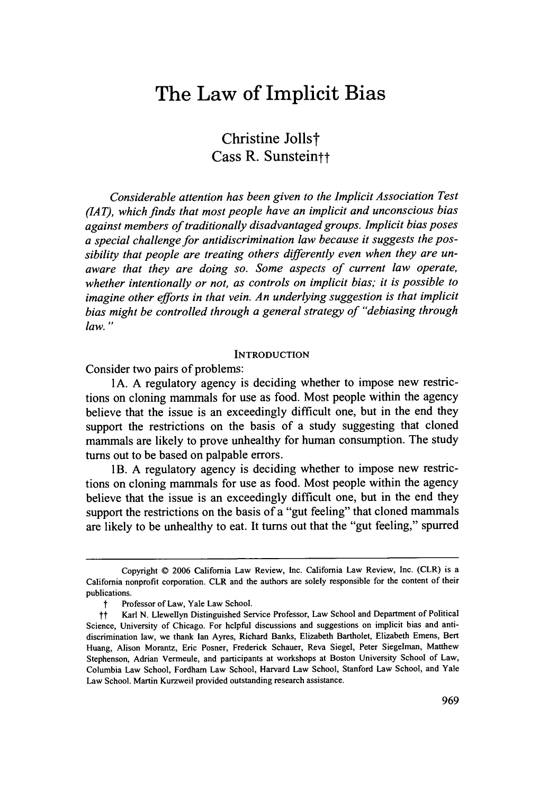## **The Law of Implicit Bias**

Christine **Jollst** Cass R. Sunsteintt

*Considerable attention has been given to the Implicit Association Test (IA T), which finds that most people have an implicit and unconscious bias against members of traditionally disadvantaged groups. Implicit bias poses a special challenge for antidiscrimination law because it suggests the possibility that people are treating others differently even when they are unaware that they are doing so. Some aspects of current law operate, whether intentionally or not, as controls on implicit bias; it is possible to imagine other efforts in that vein. An underlying suggestion is that implicit bias might be controlled through a general strategy of "debiasing through law."*

#### **INTRODUCTION**

Consider two pairs of problems:

**IA.** A regulatory agency is deciding whether to impose new restrictions on cloning mammals for use as food. Most people within the agency believe that the issue is an exceedingly difficult one, but in the end they support the restrictions on the basis of a study suggesting that cloned mammals are likely to prove unhealthy for human consumption. The study turns out to be based on palpable errors.

1B. A regulatory agency is deciding whether to impose new restrictions on cloning mammals for use as food. Most people within the agency believe that the issue is an exceedingly difficult one, but in the end they support the restrictions on the basis of a "gut feeling" that cloned mammals are likely to be unhealthy to eat. It turns out that the "gut feeling," spurred

Copyright © 2006 California Law Review, Inc. California Law Review, Inc. (CLR) is a California nonprofit corporation. CLR and the authors are solely responsible for the content of their publications.

t Professor of Law, Yale Law School.

<sup>&</sup>lt;sup>†</sup> Karl N. Llewellyn Distinguished Service Professor, Law School and Department of Political Science, University of Chicago. For helpful discussions and suggestions on implicit bias and antidiscrimination law, we thank Ian Ayres, Richard Banks, Elizabeth Bartholet, Elizabeth Emens, Bert Huang, Alison Morantz, Eric Posner, Frederick Schauer, Reva Siegel, Peter Siegelman, Matthew Stephenson, Adrian Vermeule, and participants at workshops at Boston University School of Law, Columbia Law School, Fordham Law School, Harvard Law School, Stanford Law School, and Yale Law School. Martin Kurzweil provided outstanding research assistance.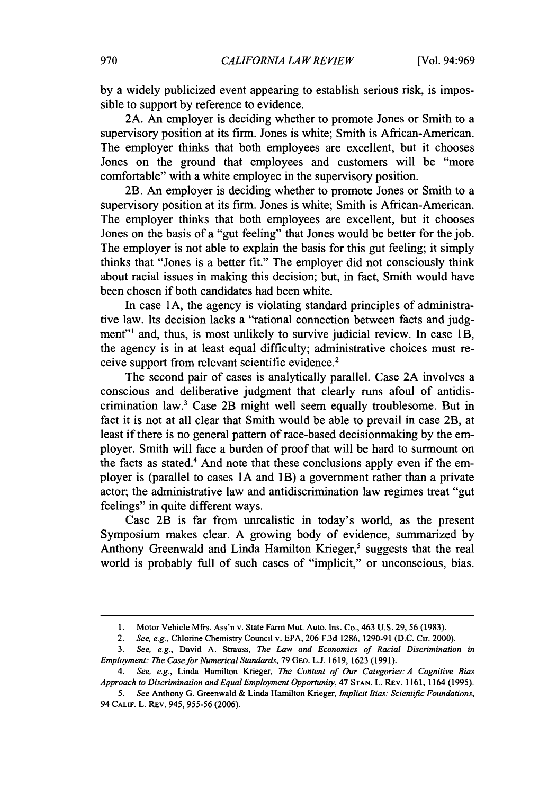by a widely publicized event appearing to establish serious risk, is impossible to support by reference to evidence.

2A. An employer is deciding whether to promote Jones or Smith to a supervisory position at its firm. Jones is white; Smith is African-American. The employer thinks that both employees are excellent, but it chooses Jones on the ground that employees and customers will be "more comfortable" with a white employee in the supervisory position.

2B. An employer is deciding whether to promote Jones or Smith to a supervisory position at its firm. Jones is white; Smith is African-American. The employer thinks that both employees are excellent, but it chooses Jones on the basis of a "gut feeling" that Jones would be better for the job. The employer is not able to explain the basis for this gut feeling; it simply thinks that "Jones is a better fit." The employer did not consciously think about racial issues in making this decision; but, in fact, Smith would have been chosen if both candidates had been white.

In case 1A, the agency is violating standard principles of administrative law. Its decision lacks a "rational connection between facts and judgment"<sup>1</sup> and, thus, is most unlikely to survive judicial review. In case 1B, the agency is in at least equal difficulty; administrative choices must receive support from relevant scientific evidence.<sup>2</sup>

The second pair of cases is analytically parallel. Case 2A involves a conscious and deliberative judgment that clearly runs afoul of antidiscrimination law.3 Case 2B might well seem equally troublesome. But in fact it is not at all clear that Smith would be able to prevail in case 2B, at least if there is no general pattern of race-based decisionmaking by the employer. Smith will face a burden of proof that will be hard to surmount on the facts as stated.<sup>4</sup> And note that these conclusions apply even if the employer is (parallel to cases 1A and 1B) a government rather than a private actor; the administrative law and antidiscrimination law regimes treat "gut feelings" in quite different ways.

Case 2B is far from unrealistic in today's world, as the present Symposium makes clear. A growing body of evidence, summarized by Anthony Greenwald and Linda Hamilton Krieger,<sup>5</sup> suggests that the real world is probably full of such cases of "implicit," or unconscious, bias.

<sup>1.</sup> Motor Vehicle Mfrs. Ass'n v. State Farm Mut. Auto. Ins. Co., 463 U.S. 29, 56 (1983).

<sup>2.</sup> *See, e.g.,* Chlorine Chemistry Council v. EPA, 206 F.3d 1286, 1290-91 (D.C. Cir. 2000).

<sup>3.</sup> *See, e.g.,* David A. Strauss, *The Law and Economics of Racial Discrimination in Employment: The Case for Numerical Standards,* 79 GEO. **L.J.** 1619, 1623 (1991).

*<sup>4.</sup> See, e.g.,* Linda Hamilton Krieger, *The Content of Our Categories: A Cognitive Bias Approach to Discrimination and Equal Employment Opportunity,* 47 **STAN.** L. REv. 1161, 1164 (1995).

*<sup>5.</sup> See* Anthony G. Greenwald & Linda Hamilton Krieger, *Implicit Bias: Scientific Foundations,* 94 **CALIF.** L. REV. 945, 955-56 (2006).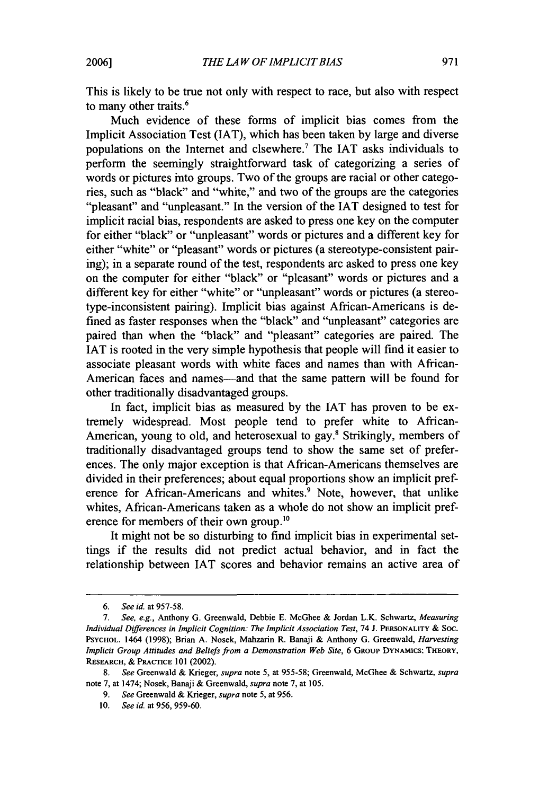This is likely to be true not only with respect to race, but also with respect to many other traits.<sup>6</sup>

Much evidence of these forms of implicit bias comes from the Implicit Association Test (IAT), which has been taken by large and diverse populations on the Internet and elsewhere.7 The IAT asks individuals to perform the seemingly straightforward task of categorizing a series of words or pictures into groups. Two of the groups are racial or other categories, such as "black" and "white," and two of the groups are the categories "pleasant" and "unpleasant." In the version of the IAT designed to test for implicit racial bias, respondents are asked to press one key on the computer for either "black" or "unpleasant" words or pictures and a different key for either "white" or "pleasant" words or pictures (a stereotype-consistent pairing); in a separate round of the test, respondents are asked to press one key on the computer for either "black" or "pleasant" words or pictures and a different key for either "white" or "unpleasant" words or pictures (a stereotype-inconsistent pairing). Implicit bias against African-Americans is defined as faster responses when the "black" and "unpleasant" categories are paired than when the "black" and "pleasant" categories are paired. The IAT is rooted in the very simple hypothesis that people will find it easier to associate pleasant words with white faces and names than with African-American faces and names-and that the same pattern will be found for other traditionally disadvantaged groups.

In fact, implicit bias as measured by the IAT has proven to be extremely widespread. Most people tend to prefer white to African-American, young to old, and heterosexual to gay.<sup>8</sup> Strikingly, members of traditionally disadvantaged groups tend to show the same set of preferences. The only major exception is that African-Americans themselves are divided in their preferences; about equal proportions show an implicit preference for African-Americans and whites.<sup>9</sup> Note, however, that unlike whites, African-Americans taken as a whole do not show an implicit preference for members of their own group.<sup>10</sup>

It might not be so disturbing to find implicit bias in experimental settings if the results did not predict actual behavior, and in fact the relationship between IAT scores and behavior remains an active area of

*<sup>6.</sup> See id.* at 957-58.

*<sup>7.</sup> See, e.g.,* Anthony G. Greenwald, Debbie E. McGhee & Jordan L.K. Schwartz, *Measuring Individual Differences in Implicit Cognition: The Implicit Association Test,* 74 J. PERSONALITY & SOC. PSYCHOL. 1464 (1998); Brian A. Nosek, Mahzarin R. Banaji & Anthony G. Greenwald, *Harvesting Implicit Group Attitudes and Beliefs from a Demonstration Web Site,* **6 GROUP DYNAMICS: THEORY, RESEARCH,** & PRACTICE 101 (2002).

<sup>8.</sup> *See* Greenwald & Krieger, *supra* note 5, at 955-58; Greenwald, McGhee & Schwartz, *supra* note 7, at 1474; Nosek, Banaji & Greenwald, *supra* note 7, at 105.

*<sup>9.</sup> See* Greenwald & Krieger, *supra* note 5, at 956.

**<sup>10.</sup>** *See id.* at 956, 959-60.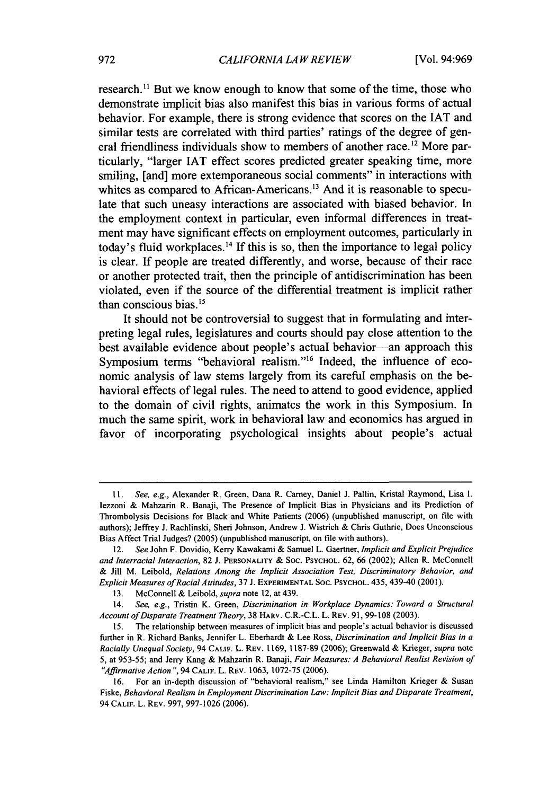research." But we know enough to know that some of the time, those who demonstrate implicit bias also manifest this bias in various forms of actual behavior. For example, there is strong evidence that scores on the IAT and similar tests are correlated with third parties' ratings of the degree of general friendliness individuals show to members of another race.'2 More particularly, "larger IAT effect scores predicted greater speaking time, more smiling, [and] more extemporaneous social comments" in interactions with whites as compared to African-Americans.<sup>13</sup> And it is reasonable to speculate that such uneasy interactions are associated with biased behavior. In the employment context in particular, even informal differences in treatment may have significant effects on employment outcomes, particularly in today's fluid workplaces.<sup>14</sup> If this is so, then the importance to legal policy is clear. If people are treated differently, and worse, because of their race or another protected trait, then the principle of antidiscrimination has been violated, even if the source of the differential treatment is implicit rather than conscious bias. $15$ 

It should not be controversial to suggest that in formulating and interpreting legal rules, legislatures and courts should pay close attention to the best available evidence about people's actual behavior-an approach this Symposium terms "behavioral realism."<sup>16</sup> Indeed, the influence of economic analysis of law stems largely from its careful emphasis on the behavioral effects of legal rules. The need to attend to good evidence, applied to the domain of civil rights, animates the work in this Symposium. In much the same spirit, work in behavioral law and economics has argued in favor of incorporating psychological insights about people's actual

*It. See,* e.g., Alexander R. Green, Dana R. Carney, Daniel J. Pallin, Kristal Raymond, Lisa **1.** Iezzoni & Mahzarin R. Banaji, The Presence of Implicit Bias in Physicians and its Prediction of Thrombolysis Decisions for Black and White Patients (2006) (unpublished manuscript, on file with authors); Jeffrey J. Rachlinski, Sheri Johnson, Andrew J. Wistrich & Chris Guthrie, Does Unconscious Bias Affect Trial Judges? (2005) (unpublished manuscript, on file with authors).

*<sup>12.</sup> See* John F. Dovidio, Kerry Kawakami & Samuel L. Gaertner, *Implicit and Explicit Prejudice and Interracial Interaction,* 82 J. PERSONALITY & SOC. PSYCHOL. 62, 66 (2002); Allen R. McConnell & Jill M. Leibold, *Relations Among the Implicit Association Test, Discriminatory Behavior, and Explicit Measures of Racial Attitudes,* 37 J. EXPERIMENTAL SOC. PSYCHOL. 435, 439-40 (2001).

<sup>13.</sup> McConnell & Leibold, *supra* note 12, at 439.

<sup>14.</sup> *See, e.g.,* Tristin K. Green, *Discrimination in Workplace Dynamics: Toward a Structural Account of Disparate Treatment Theory,* 38 HARV. C.R.-C.L. L. REV. 91, 99-108 (2003).

<sup>15.</sup> The relationship between measures of implicit bias and people's actual behavior is discussed further in R. Richard Banks, Jennifer L. Eberhardt & Lee Ross, *Discrimination and Implicit Bias in a Racially Unequal Society,* 94 CALIF. L. REV. 1169, 1187-89 (2006); Greenwald & Krieger, *supra* note 5, at 953-55; and Jerry Kang & Mahzarin R. Banaji, *Fair Measures: A Behavioral Realist Revision of "Affirmative Action* **",** 94 **CALIF.** L. REV. 1063, 1072-75 (2006).

<sup>16.</sup> For an in-depth discussion of "behavioral realism," see Linda Hamilton Krieger & Susan Fiske, *Behavioral Realism in Employment Discrimination Law: Implicit Bias and Disparate Treatment,* 94 **CALIF.** L. REV. 997, 997-1026 (2006).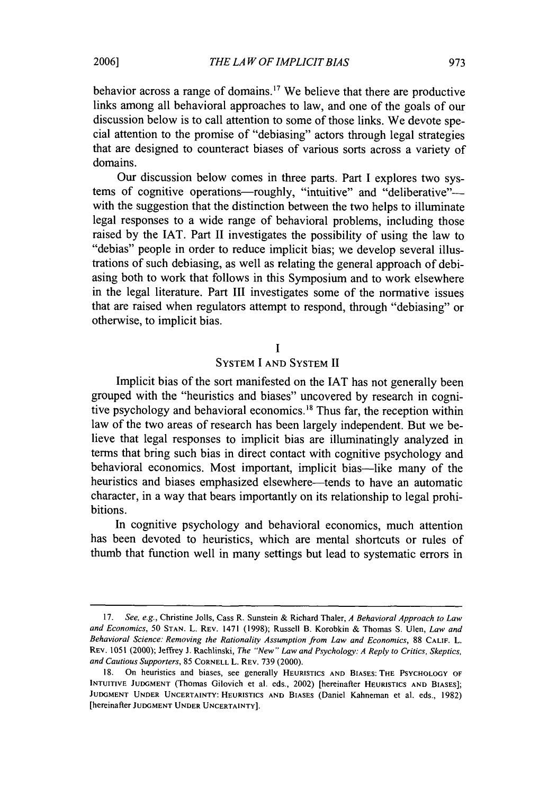behavior across a range of domains.17 We believe that there are productive links among all behavioral approaches to law, and one of the goals of our discussion below is to call attention to some of those links. We devote special attention to the promise of "debiasing" actors through legal strategies that are designed to counteract biases of various sorts across a variety of domains.

Our discussion below comes in three parts. Part I explores two systems of cognitive operations—roughly, "intuitive" and "deliberative" with the suggestion that the distinction between the two helps to illuminate legal responses to a wide range of behavioral problems, including those raised by the IAT. Part II investigates the possibility of using the law to "debias" people in order to reduce implicit bias; we develop several illustrations of such debiasing, as well as relating the general approach of debiasing both to work that follows in this Symposium and to work elsewhere in the legal literature. Part III investigates some of the normative issues that are raised when regulators attempt to respond, through "debiasing" or otherwise, to implicit bias.

## **I**

## **SYSTEM** I **AND SYSTEM** II

Implicit bias of the sort manifested on the **IAT** has not generally been grouped with the "heuristics and biases" uncovered by research in cognitive psychology and behavioral economics.<sup>18</sup> Thus far, the reception within law of the two areas of research has been largely independent. But we believe that legal responses to implicit bias are illuminatingly analyzed in terms that bring such bias in direct contact with cognitive psychology and behavioral economics. Most important, implicit bias—like many of the heuristics and biases emphasized elsewhere—tends to have an automatic character, in a way that bears importantly on its relationship to legal prohibitions.

In cognitive psychology and behavioral economics, much attention has been devoted to heuristics, which are mental shortcuts or rules of thumb that function well in many settings but lead to systematic errors in

<sup>17.</sup> *See, e.g.,* Christine Jolls, Cass R. Sunstein & Richard Thaler, *A Behavioral Approach to Law and Economics, 50* **STAN.** L. REV. 1471 (1998); Russell B. Korobkin **&** Thomas S. Ulen, *Law and Behavioral Science: Removing the Rationality Assumption from Law and Economics,* 88 **CALIF.** L. REV. 1051 (2000); Jeffrey J. Rachlinski, *The "New" Law and Psychology: A Reply to Critics, Skeptics, and Cautious Supporters,* 85 CORNELL L. REV. 739 (2000).

**<sup>18.</sup>** On heuristics and biases, see generally HEURISTICS **AND** BIASES: THE PSYCHOLOGY OF **INTUITIVE JUDGMENT** (Thomas Gilovich et al. eds., 2002) [hereinafter HEURISTICS **AND BIASES]; JUDGMENT UNDER** UNCERTAINTY: HEURISTICS **AND** BIASES (Daniel Kahneman et al. eds., 1982) [hereinafter **JUDGMENT UNDER** UNCERTAINTY].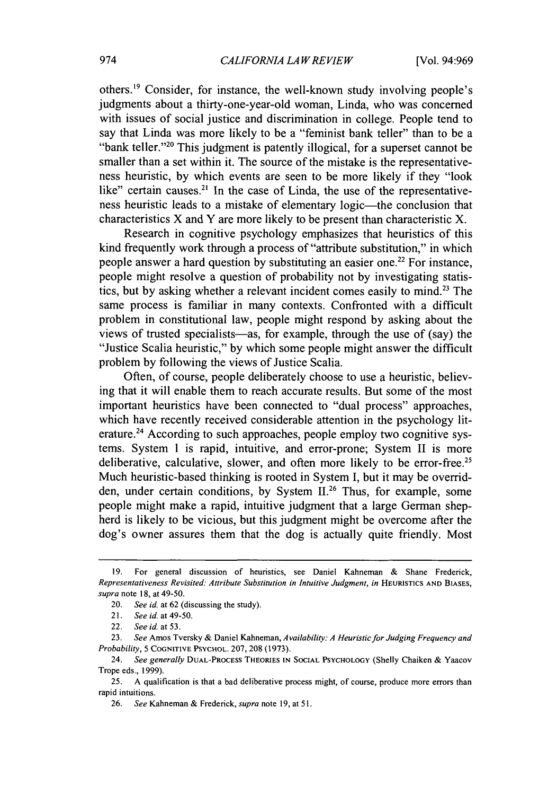others.<sup>19</sup> Consider, for instance, the well-known study involving people's judgments about a thirty-one-year-old woman, Linda, who was concerned with issues of social justice and discrimination in college. People tend to say that Linda was more likely to be a "feminist bank teller" than to be a "bank teller."<sup>20</sup> This judgment is patently illogical, for a superset cannot be smaller than a set within it. The source of the mistake is the representativeness heuristic, by which events are seen to be more likely if they "look like" certain causes.<sup>21</sup> In the case of Linda, the use of the representativeness heuristic leads to a mistake of elementary logic-the conclusion that characteristics X and Y are more likely to be present than characteristic X.

Research in cognitive psychology emphasizes that heuristics of this kind frequently work through a process of "attribute substitution," in which people answer a hard question by substituting an easier one.<sup>22</sup> For instance, people might resolve a question of probability not by investigating statistics, but by asking whether a relevant incident comes easily to mind.<sup>23</sup> The same process is familiar in many contexts. Confronted with a difficult problem in constitutional law, people might respond by asking about the views of trusted specialists-as, for example, through the use of (say) the "Justice Scalia heuristic," by which some people might answer the difficult problem by following the views of Justice Scalia.

Often, of course, people deliberately choose to use a heuristic, believing that it will enable them to reach accurate results. But some of the most important heuristics have been connected to "dual process" approaches, which have recently received considerable attention in the psychology literature.<sup>24</sup> According to such approaches, people employ two cognitive systems. System I is rapid, intuitive, and error-prone; System II is more deliberative, calculative, slower, and often more likely to be error-free.<sup>25</sup> Much heuristic-based thinking is rooted in System I, but it may be overridden, under certain conditions, by System **11.26** Thus, for example, some people might make a rapid, intuitive judgment that a large German shepherd is likely to be vicious, but this judgment might be overcome after the dog's owner assures them that the dog is actually quite friendly. Most

<sup>19.</sup> For general discussion of heuristics, see Daniel Kahneman & Shane Frederick, *Representativeness Revisited: Attribute Substitution in Intuitive Judgment, in* HEURISTICS **AND** BIASES, *supra* note 18, at 49-50.

<sup>20.</sup> *See id.* at 62 (discussing the study).

<sup>21.</sup> *See id.* at 49-50.

<sup>22.</sup> *See id.* at 53.

<sup>23.</sup> *See* Amos Tversky & Daniel Kahneman, *Availability: A Heuristic for Judging Frequency and Probability,* 5 **COGNITIVE** PSYCHOL. 207, 208 (1973).

<sup>24.</sup> *See generally* DUAL-PROCESS THEORIES IN SOCIAL PSYCHOLOGY (Shelly Chaiken & Yaacov Trope eds., 1999).

<sup>25.</sup> A qualification is that a bad deliberative process might, of course, produce more errors than rapid intuitions.

<sup>26.</sup> *See* Kahneman & Frederick, *supra* note 19, at *51.*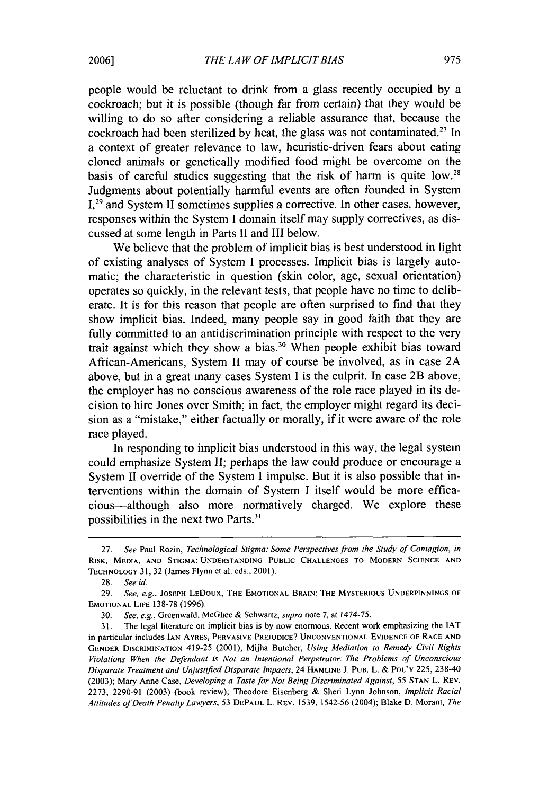people would be reluctant to drink from a glass recently occupied by a cockroach; but it is possible (though far from certain) that they would be willing to do so after considering a reliable assurance that, because the cockroach had been sterilized by heat, the glass was not contaminated.<sup>27</sup> In a context of greater relevance to law, heuristic-driven fears about eating cloned animals or genetically modified food might be overcome on the basis of careful studies suggesting that the risk of harm is quite low.<sup>28</sup> Judgments about potentially harmful events are often founded in System **I,9** and System II sometimes supplies a corrective. In other cases, however, responses within the System I domain itself may supply correctives, as discussed at some length in Parts II and III below.

We believe that the problem of implicit bias is best understood in light of existing analyses of System I processes. Implicit bias is largely automatic; the characteristic in question (skin color, age, sexual orientation) operates so quickly, in the relevant tests, that people have no time to deliberate. It is for this reason that people are often surprised to find that they show implicit bias. Indeed, many people say in good faith that they are fully committed to an antidiscrimination principle with respect to the very trait against which they show a bias.<sup>30</sup> When people exhibit bias toward African-Americans, System II may of course be involved, as in case 2A above, but in a great many cases System I is the culprit. In case 2B above, the employer has no conscious awareness of the role race played in its decision to hire Jones over Smith; in fact, the employer might regard its decision as a "mistake," either factually or morally, if it were aware of the role race played.

In responding to implicit bias understood in this way, the legal system could emphasize System II; perhaps the law could produce or encourage a System II override of the System I impulse. But it is also possible that interventions within the domain of System I itself would be more efficacious-although also more normatively charged. We explore these possibilities in the next two Parts.3'

<sup>27.</sup> *See* Paul Rozin, *Technological Stigma: Some Perspectives from the Study of Contagion, in* **RISK,** MEDIA, **AND STIGMA: UNDERSTANDING PUBLIC CHALLENGES** TO MODERN **SCIENCE AND TECHNOLOGY** 31, 32 (James Flynn **et** al. **eds.,** 2001).

<sup>28.</sup> See id.

<sup>29.</sup> *See, e.g.,* **JOSEPH** LEDOUx, THE EMOTIONAL BRAIN: THE MYSTERIOUS **UNDERPINNINGS OF EMOTIONAL** LIFE 138-78 (1996).

<sup>30.</sup> *See, e.g.,* Greenwald, McGhee & Schwartz, *supra* note 7, **at** 1474-75.

**<sup>31.</sup>** The legal literature on implicit bias is **by** now enormous. **Recent** work emphasizing **the IAT** in particular includes **IAN** AYRES, PERVASIVE **PREJUDICE? UNCONVENTIONAL** EVIDENCE **OF** RACE **AND GENDER** DISCRIMINATION 419-25 (2001); Mijha Butcher, *Using Mediation to Remedy Civil Rights Violations When the Defendant is Not an Intentional Perpetrator: The Problems of Unconscious Disparate Treatment and Unjustified Disparate Impacts,* 24 **HAMLINE** J. **PUB.** L. & POL'Y 225, 238-40 (2003); **Mary** Anne **Case,** *Developing a Taste for Not Being Discriminated Against,* 55 **STAN** L. REV. 2273, 2290-91 (2003) (book review); Theodore Eisenberg & Sheri Lynn Johnson, *Implicit Racial Attitudes of Death Penalty Lawyers,* **53 DEPAUL** L. REV. 1539, 1542-56 (2004); Blake D. Morant, *The*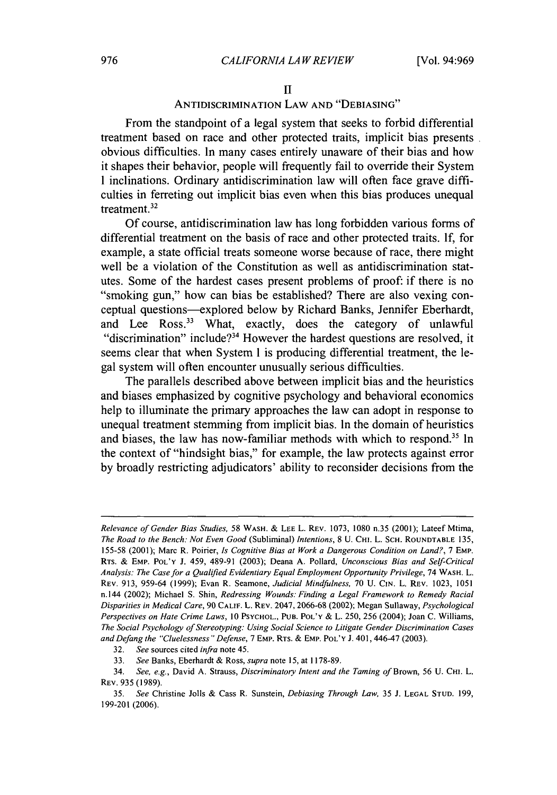#### **H1**

### ANTIDISCRIMINATION LAW AND "DEBIASING"

From the standpoint of a legal system that seeks to forbid differential treatment based on race and other protected traits, implicit bias presents obvious difficulties. In many cases entirely unaware of their bias and how it shapes their behavior, people will frequently fail to override their System I inclinations. Ordinary antidiscrimination law will often face grave difficulties in ferreting out implicit bias even when this bias produces unequal treatment.<sup>32</sup>

Of course, antidiscrimination law has long forbidden various forms of differential treatment on the basis of race and other protected traits. If, for example, a state official treats someone worse because of race, there might well be a violation of the Constitution as well as antidiscrimination statutes. Some of the hardest cases present problems of proof: if there is no "smoking gun," how can bias be established? There are also vexing conceptual questions-explored below by Richard Banks, Jennifer Eberhardt, and Lee Ross.33 What, exactly, does the category of unlawful "discrimination" include?34 However the hardest questions are resolved, it seems clear that when System I is producing differential treatment, the legal system will often encounter unusually serious difficulties.

The parallels described above between implicit bias and the heuristics and biases emphasized by cognitive psychology and behavioral economics help to illuminate the primary approaches the law can adopt in response to unequal treatment stemming from implicit bias. In the domain of heuristics and biases, the law has now-familiar methods with which to respond.<sup>35</sup> In the context of "hindsight bias," for example, the law protects against error by broadly restricting adjudicators' ability to reconsider decisions from the

32. *See* sources cited *infra* note 45.

33. *See* Banks, Eberhardt & Ross, *supra* note **15,** at 1178-89.

*Relevance of Gender Bias Studies,* 58 **WASH.** & **LEE** L. REV. 1073, 1080 n.35 (2001); Lateef Mtima, *The Road to the Bench: Not Even Good* (Subliminal) *Intentions,* 8 U. *Cm.* L. SCH. ROUNDTABLE 135, 155-58 (2001); Marc R. Poirier, *Is Cognitive Bias at Work a Dangerous Condition on Land?,* 7 EMP. RTS. & EMP. POL'Y J. 459, 489-91 (2003); Deana A. Pollard, *Unconscious Bias and Self-Critical Analysis: The Case for a Qualified Evidentiary Equal Employment Opportunity Privilege,* 74 WASH. L. REV. **913,** 959-64 (1999); Evan R. Seamone, *Judicial Mindfulness,* 70 U. CIN. L. REv. 1023, 1051 n.144 (2002); Michael S. Shin, *Redressing Wounds: Finding a Legal Framework to Remedy Racial Disparities in Medical Care,* 90 **CALIF.** L. REV. 2047, 2066-68 (2002); Megan Sullaway, *Psychological Perspectives on Hate Crime Laws,* **10** PSYCHOL., **PUB.** POL'Y *&* L. 250, 256 (2004); Joan C. Williams, *The Social Psychology of Stereotyping: Using Social Science to Litigate Gender Discrimination Cases and Defang the "Cluelessness " Defense,* 7 EMP. RTS. & EMP. POL'y J. 401, 446-47 (2003).

<sup>34.</sup> *See, e.g.,* David A. Strauss, *Discriminatory Intent and the Taming of* Brown, 56 U. CHI. L. **REV.** 935 (1989).

<sup>35.</sup> *See* Christine Jolls & Cass R. Sunstein, *Debiasing Through Law,* 35 J. **LEGAL STUD. 199,** 199-201 (2006).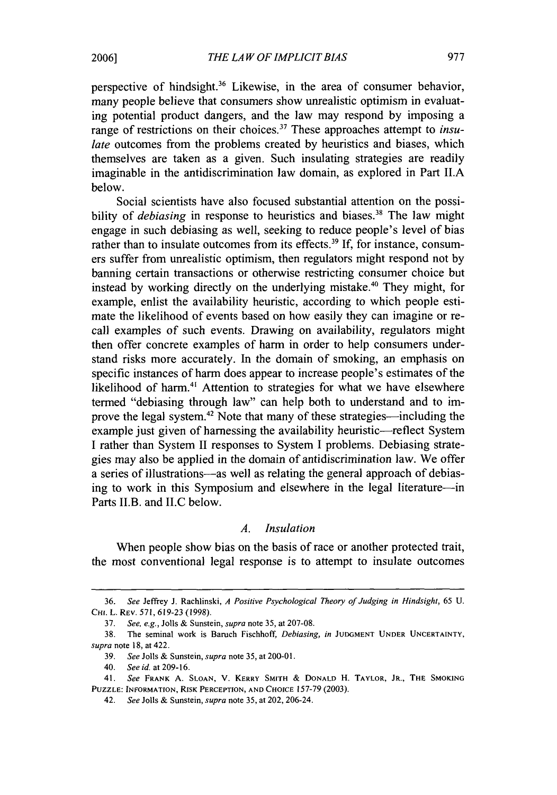perspective of hindsight.36 Likewise, in the area of consumer behavior, many people believe that consumers show unrealistic optimism in evaluating potential product dangers, and the law may respond by imposing a range of restrictions on their choices.37 These approaches attempt to *insulate* outcomes from the problems created by heuristics and biases, which themselves are taken as a given. Such insulating strategies are readily imaginable in the antidiscrimination law domain, as explored in Part II.A below.

Social scientists have also focused substantial attention on the possibility of *debiasing* in response to heuristics and biases.<sup>38</sup> The law might engage in such debiasing as well, seeking to reduce people's level of bias rather than to insulate outcomes from its effects.<sup>39</sup> If, for instance, consumers suffer from unrealistic optimism, then regulators might respond not by banning certain transactions or otherwise restricting consumer choice but instead by working directly on the underlying mistake.<sup>40</sup> They might, for example, enlist the availability heuristic, according to which people estimate the likelihood of events based on how easily they can imagine or recall examples of such events. Drawing on availability, regulators might then offer concrete examples of harm in order to help consumers understand risks more accurately. In the domain of smoking, an emphasis on specific instances of harm does appear to increase people's estimates of the likelihood of harm.<sup>41</sup> Attention to strategies for what we have elsewhere termed "debiasing through law" can help both to understand and to improve the legal system.<sup>42</sup> Note that many of these strategies—including the example just given of harnessing the availability heuristic-reflect System I rather than System II responses to System I problems. Debiasing strategies may also be applied in the domain of antidiscrimination law. We offer a series of illustrations-as well as relating the general approach of debiasing to work in this Symposium and elsewhere in the legal literature-in Parts II.B. and II.C below.

### *A. Insulation*

When people show bias on the basis of race or another protected trait, the most conventional legal response is to attempt to insulate outcomes

**<sup>36.</sup>** *See* Jeffrey J. Rachlinski, *A Positive Psychological Theory of Judging in Hindsight,* 65 U. CHI. L. REV. **571,** 619-23 (1998).

<sup>37.</sup> *See, e.g.,* Jolls & Sunstein, *supra* note 35, at 207-08.

<sup>38.</sup> The seminal work is Baruch Fischhoff, *Debiasing, in* **JUDGMENT UNDER UNCERTAINTY,** *supra* note 18, at 422.

<sup>39.</sup> *See* Jolls & Sunstein, *supra* note 35, at 200-01.

<sup>40.</sup> *See id.* at 209-16.

<sup>41.</sup> *See* FRANK A. **SLOAN,** V. **KERRY** SMITH *&* **DONALD** H. TAYLOR, JR., THE **SMOKING PUZZLE: INFORMATION,** RISK **PERCEPTION, AND CHOICE** 157-79 (2003).

<sup>42.</sup> *See Jolls* & Sunstein, *supra* note 35, at 202, 206-24.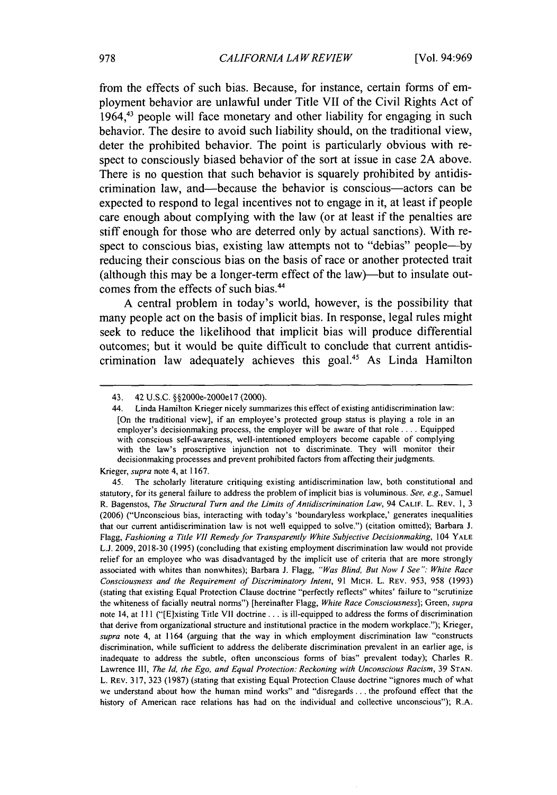from the effects of such bias. Because, for instance, certain forms of employment behavior are unlawful under Title **VII** of the Civil Rights Act of 1964,43 people will face monetary and other liability for engaging in such behavior. The desire to avoid such liability should, on the traditional view, deter the prohibited behavior. The point is particularly obvious with respect to consciously biased behavior of the sort at issue in case 2A above. There is no question that such behavior is squarely prohibited by antidiscrimination law, and-because the behavior is conscious-actors can be expected to respond to legal incentives not to engage in it, at least if people care enough about complying with the law (or at least if the penalties are stiff enough for those who are deterred only by actual sanctions). With respect to conscious bias, existing law attempts not to "debias" people-by reducing their conscious bias on the basis of race or another protected trait (although this may be a longer-term effect of the law)—but to insulate outcomes from the effects of such bias.'

A central problem in today's world, however, is the possibility that many people act on the basis of implicit bias. In response, legal rules might seek to reduce the likelihood that implicit bias will produce differential outcomes; but it would be quite difficult to conclude that current antidiscrimination law adequately achieves this goal.<sup>45</sup> As Linda Hamilton

<sup>43. 42</sup> U.S.C. §§2000e-2000e17 (2000).

<sup>44.</sup> Linda Hamilton Krieger nicely summarizes this effect of existing antidiscrimination law: [On the traditional view], if an employee's protected group status is playing a role in an employer's decisionmaking process, the employer will be aware of that role .... Equipped with conscious self-awareness, well-intentioned employers become capable of complying with the law's proscriptive injunction not to discriminate. They will monitor their decisionmaking processes and prevent prohibited factors from affecting their judgments. Krieger, *supra* note 4, at 1167.

<sup>45.</sup> The scholarly literature critiquing existing antidiscrimination law, both constitutional and statutory, for its general failure to address the problem of implicit bias is voluminous. *See, e.g.,* Samuel R. Bagenstos, *The Structural Turn and the Limits of Antidiscrimination Law,* 94 **CALIF.** L. REV. 1, 3 (2006) ("Unconscious bias, interacting with today's 'boundaryless workplace,' generates inequalities that our current antidiscrimination law is not well equipped to solve.") (citation omitted); Barbara **J.** Flagg, Fashioning a Title VII Remedy for Transparently White Subjective Decisionmaking, 104 YALE L.J. 2009, 2018-30 (1995) (concluding that existing employment discrimination law would not provide relief for an employee who was disadvantaged by the implicit use of criteria that are more strongly associated with whites than nonwhites); Barbara **J.** Flagg, *"'Was Blind, But Now I See": White Race Consciousness and the Requirement of Discriminatory Intent,* 91 MICH. L. REV. 953, 958 (1993) (stating that existing Equal Protection Clause doctrine "perfectly reflects" whites' failure to "scrutinize the whiteness of facially neutral norms") [hereinafter Flagg, *White Race Consciousness];* Green, *supra* note 14, at **Ill** ("[E]xisting Title VII doctrine.., is ill-equipped to address the forms of discrimination that derive from organizational structure and institutional practice in the modem workplace."); Krieger, *supra* note 4, at 1164 (arguing that the way in which employment discrimination law "constructs discrimination, while sufficient to address the deliberate discrimination prevalent in an earlier age, is inadequate to address the subtle, often unconscious forms of bias" prevalent today); Charles R. Lawrence III, The Id, the Ego, and Equal Protection: Reckoning with Unconscious Racism, 39 STAN. L. REV. 317, 323 (1987) (stating that existing Equal Protection Clause doctrine "ignores much of what we understand about how the human mind works" and "disregards... the profound effect that the history of American race relations has had on the individual and collective unconscious"); R.A.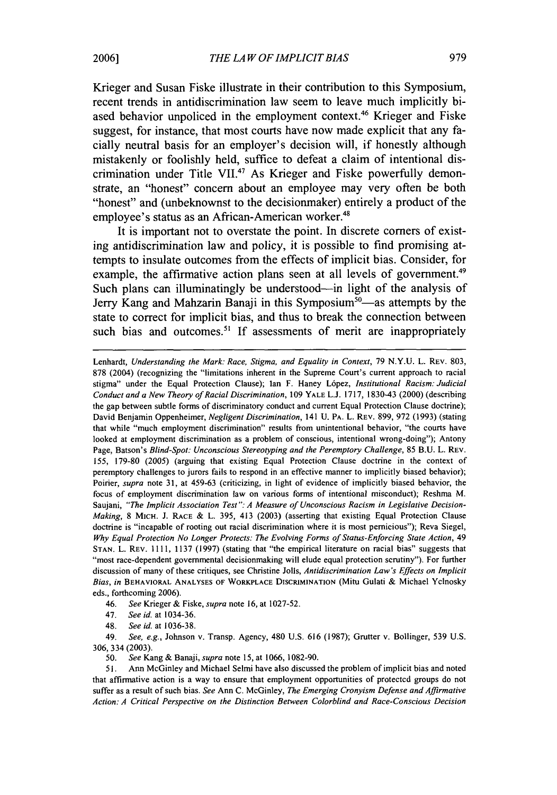Krieger and Susan Fiske illustrate in their contribution to this Symposium, recent trends in antidiscrimination law seem to leave much implicitly biased behavior unpoliced in the employment context.<sup>46</sup> Krieger and Fiske suggest, for instance, that most courts have now made explicit that any facially neutral basis for an employer's decision will, if honestly although mistakenly or foolishly held, suffice to defeat a claim of intentional discrimination under Title VII.<sup>47</sup> As Krieger and Fiske powerfully demonstrate, an "honest" concern about an employee may very often be both "honest" and (unbeknownst to the decisionmaker) entirely a product of the employee's status as an African-American worker.<sup>48</sup>

It is important not to overstate the point. In discrete corners of existing antidiscrimination law and policy, it is possible to find promising attempts to insulate outcomes from the effects of implicit bias. Consider, for example, the affirmative action plans seen at all levels of government.<sup>49</sup> Such plans can illuminatingly be understood—in light of the analysis of Jerry Kang and Mahzarin Banaji in this **Symposium'°--as** attempts **by** the state to correct for implicit bias, and thus to break the connection between such bias and outcomes.<sup>51</sup> If assessments of merit are inappropriately

Lenhardt, Understanding the Mark: Race, Stigma, and Equality in Context, 79 N.Y.U. L. REV. 803, 878 (2004) (recognizing the "limitations inherent in the Supreme Court's current approach to racial stigma" under the Equal Protection Clause); Ian F. Haney López, Institutional Racism: Judicial Conduct and a New *Theory* of Racial Discrimination, **109** YALE **L.J.** 1717, 1830-43 (2000) (describing the gap between subtle forms of discriminatory conduct and current Equal Protection Clause doctrine); David Benjamin Oppenheimer, Negligent Discrimination, 141 U. PA. L. REV. 899, 972 (1993) (stating that while "much employment discrimination" results from unintentional behavior, "the courts have looked at employment discrimination as a problem of conscious, intentional wrong-doing"); Antony Page, Batson's Blind-Spot: Unconscious Stereotyping and the Peremptory Challenge, 85 B.U. L. REV. 155, 179-80 (2005) (arguing that existing Equal Protection Clause doctrine in the context of peremptory challenges to jurors fails to respond in an effective manner to implicitly biased behavior); Poirier, supra note 31, at 459-63 (criticizing, in light of evidence of implicitly biased behavior, the focus of employment discrimination law on various forms of intentional misconduct); Reshma M. Saujani, "The Implicit Association Test *":* A Measure of Unconscious Racism in Legislative Decision-Making, 8 MICH. **J.** RACE & L. 395, 413 (2003) (asserting that existing Equal Protection Clause doctrine is "incapable of rooting out racial discrimination where it is most pernicious"); Reva Siegel, *Why* Equal Protection No Longer Protects: The Evolving Forms of Status-Enforcing State Action, 49 **STAN.** L. REV. 1111, 1137 (1997) (stating that "the empirical literature on racial bias" suggests that "most race-dependent governmental decisionmaking will elude equal protection scrutiny"). For further discussion of many of these critiques, see Christine Jolls, Antidiscrimination Law's Effects on Implicit Bias, in BEHAVIORAL **ANALYSES** OF WORKPLACE DISCRIMINATION (Mitu Gulati & Michael Yelnosky eds., forthcoming 2006).

<sup>46.</sup> See Krieger & Fiske, supra note 16, at 1027-52.

<sup>47.</sup> See id. at 1034-36.

<sup>48.</sup> See id. at 1036-38.

<sup>49.</sup> See, e.g., Johnson v. Transp. Agency, 480 U.S. 616 (1987); Grutter v. Bollinger, 539 U.S. 306, 334 (2003).

<sup>50.</sup> See Kang & Banaji, supra note **15,** at 1066, 1082-90.

<sup>51.</sup> Ann McGinley and Michael Selmi have also discussed the problem of implicit bias and noted that affirmative action is a way to ensure that employment opportunities of protected groups do not suffer as a result of such bias. See Ann C. McGinley, *The* Emerging Cronyism Defense and Affirmative Action: A Critical Perspective on the Distinction Between Colorblind and Race-Conscious Decision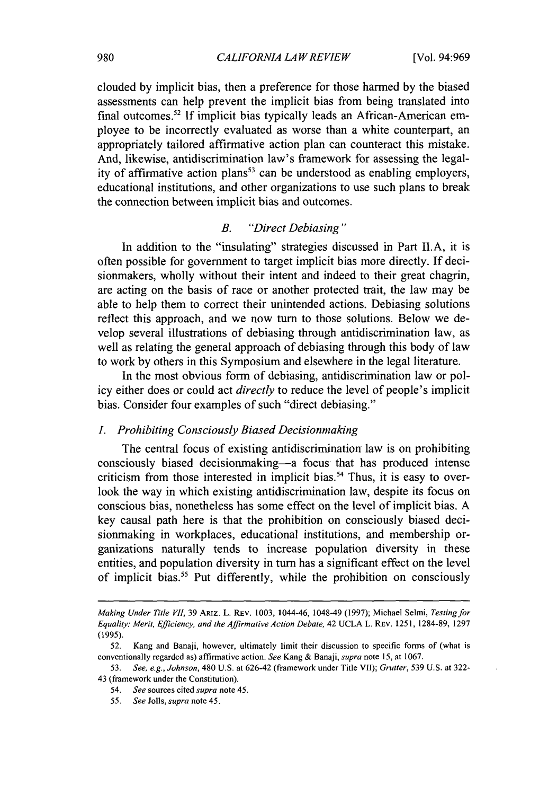clouded by implicit bias, then a preference for those harmed by the biased assessments can help prevent the implicit bias from being translated into final outcomes.<sup>52</sup> If implicit bias typically leads an African-American employee to be incorrectly evaluated as worse than a white counterpart, an appropriately tailored affirmative action plan can counteract this mistake. And, likewise, antidiscrimination law's framework for assessing the legality of affirmative action plans<sup>53</sup> can be understood as enabling employers, educational institutions, and other organizations to use such plans to break the connection between implicit bias and outcomes.

#### *B. "Direct Debiasing"*

In addition to the "insulating" strategies discussed in Part II.A, it is often possible for government to target implicit bias more directly. If decisionmakers, wholly without their intent and indeed to their great chagrin, are acting on the basis of race or another protected trait, the law may be able to help them to correct their unintended actions. Debiasing solutions reflect this approach, and we now turn to those solutions. Below we develop several illustrations of debiasing through antidiscrimination law, as well as relating the general approach of debiasing through this body of law to work by others in this Symposium and elsewhere in the legal literature.

In the most obvious form of debiasing, antidiscrimination law or policy either does or could act *directly* to reduce the level of people's implicit bias. Consider four examples of such "direct debiasing."

#### *1. Prohibiting Consciously Biased Decisionmaking*

The central focus of existing antidiscrimination law is on prohibiting consciously biased decisionmaking-a focus that has produced intense criticism from those interested in implicit bias.<sup>54</sup> Thus, it is easy to overlook the way in which existing antidiscrimination law, despite its focus on conscious bias, nonetheless has some effect on the level of implicit bias. A key causal path here is that the prohibition on consciously biased decisionmaking in workplaces, educational institutions, and membership organizations naturally tends to increase population diversity in these entities, and population diversity in turn has a significant effect on the level of implicit bias.<sup>55</sup> Put differently, while the prohibition on consciously

*Making Under Title VII,* 39 **ARIZ.** L. REV. 1003, 1044-46, 1048-49 (1997); Michael Selmi, *Testing for Equality: Merit, Efficiency, and the Affirmative Action Debate,* 42 UCLA L. REV. 1251, 1284-89, 1297 (1995).

<sup>52.</sup> Kang and Banaji, however, ultimately limit their discussion to specific forms of (what is conventionally regarded as) affirmative action. *See* Kang & Banaji, *supra* note 15, at 1067.

<sup>53.</sup> *See, e.g., Johnson,* 480 U.S. at 626-42 (framework under Title VIl); *Grutter,* 539 U.S. at 322- 43 (framework under the Constitution).

<sup>54.</sup> *See* sources cited *supra* note 45.

<sup>55.</sup> *See* Jolls, *supra* note 45.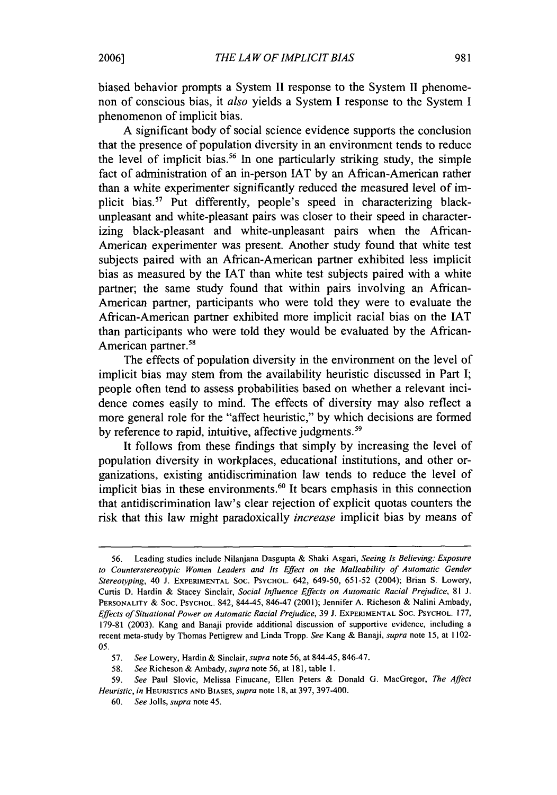biased behavior prompts a System II response to the System II phenomenon of conscious bias, it *also* yields a System I response to the System I phenomenon of implicit bias.

A significant body of social science evidence supports the conclusion that the presence of population diversity in an environment tends to reduce the level of implicit bias.<sup>56</sup> In one particularly striking study, the simple fact of administration of an in-person IAT by an African-American rather than a white experimenter significantly reduced the measured level of implicit bias.<sup>57</sup> Put differently, people's speed in characterizing blackunpleasant and white-pleasant pairs was closer to their speed in characterizing black-pleasant and white-unpleasant pairs when the African-American experimenter was present. Another study found that white test subjects paired with an African-American partner exhibited less implicit bias as measured by the **IAT** than white test subjects paired with a white partner; the same study found that within pairs involving an African-American partner, participants who were told they were to evaluate the African-American partner exhibited more implicit racial bias on the **IAT** than participants who were told they would be evaluated by the African-American partner.<sup>58</sup>

The effects of population diversity in the environment on the level of implicit bias may stem from the availability heuristic discussed in Part I; people often tend to assess probabilities based on whether a relevant incidence comes easily to mind. The effects of diversity may also reflect a more general role for the "affect heuristic," by which decisions are formed by reference to rapid, intuitive, affective judgments.<sup>59</sup>

It follows from these findings that simply by increasing the level of population diversity in workplaces, educational institutions, and other organizations, existing antidiscrimination law tends to reduce the level of implicit bias in these environments.<sup>60</sup> It bears emphasis in this connection that antidiscrimination law's clear rejection of explicit quotas counters the risk that this law might paradoxically *increase* implicit bias by means of

<sup>56.</sup> Leading studies include Nilanjana Dasgupta & Shaki Asgari, *Seeing Is Believing: Exposure to Counterstereotypic Women Leaders and Its Effect on the Malleability of Automatic Gender Stereotyping,* 40 J. **EXPERIMENTAL Soc.** PSYCHOL. 642, 649-50, 651-52 (2004); Brian S. Lowery, Curtis D. Hardin & Stacey Sinclair, *Social Influence Effects on Automatic Racial Prejudice,* 81 J. PERSONALITY & SOC. PSYCHOL. 842, 844-45, 846-47 (2001); Jennifer A. Richeson & Nalini Ambady, *Effects of Situational Power on Automatic Racial Prejudice,* 39 J. EXPERIMENTAL **SOC.** PSYCHOL. 177, 179-81 (2003). Kang and Banaji provide additional discussion of supportive evidence, including a recent meta-study by Thomas Pettigrew and Linda Tropp. *See* Kang & Banaji, *supra* note 15, at 1102- *05.*

<sup>57.</sup> *See* Lowery, Hardin & Sinclair, *supra* note 56, at 844-45, 846-47.

<sup>58.</sup> *See* Richeson & Ambady, *supra* note 56, at 181, table **1.**

<sup>59.</sup> *See* Paul Slovic, Melissa Finucane, Ellen Peters & Donald G. MacGregor, *The Affect Heuristic, in* **HEURISTICS AND BIASES,** *supra* note 18, at 397, 397-400.

<sup>60.</sup> *See* Jolls, *supra* note 45.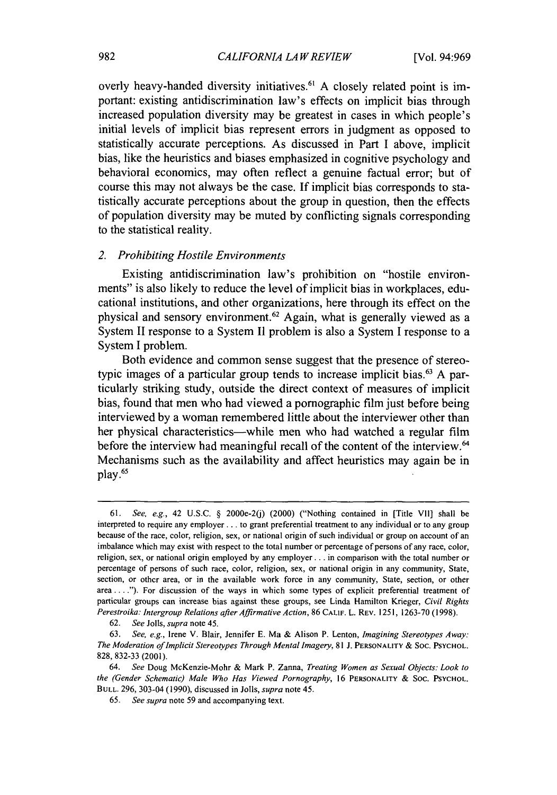overly heavy-handed diversity initiatives.<sup>61</sup> A closely related point is important: existing antidiscrimination law's effects on implicit bias through increased population diversity may be greatest in cases in which people's initial levels of implicit bias represent errors in judgment as opposed to statistically accurate perceptions. As discussed in Part I above, implicit bias, like the heuristics and biases emphasized in cognitive psychology and behavioral economics, may often reflect a genuine factual error; but of course this may not always be the case. If implicit bias corresponds to statistically accurate perceptions about the group in question, then the effects of population diversity may be muted by conflicting signals corresponding to the statistical reality.

#### *2. Prohibiting Hostile Environments*

Existing antidiscrimination law's prohibition on "hostile environments" is also likely to reduce the level of implicit bias in workplaces, educational institutions, and other organizations, here through its effect on the physical and sensory environment.62 Again, what is generally viewed as a System II response to a System II problem is also a System I response to a System I problem.

Both evidence and common sense suggest that the presence of stereotypic images of a particular group tends to increase implicit bias.<sup>63</sup> A particularly striking study, outside the direct context of measures of implicit bias, found that men who had viewed a pornographic film just before being interviewed by a woman remembered little about the interviewer other than her physical characteristics—while men who had watched a regular film before the interview had meaningful recall of the content of the interview.<sup>64</sup> Mechanisms such as the availability and affect heuristics may again be in play. <sup>65</sup>

<sup>61.</sup> *See, e.g.,* 42 U.S.C. § 2000e-2(j) (2000) ("Nothing contained in [Title VII] shall be interpreted to require any employer... to grant preferential treatment to any individual or to any group because of the race, color, religion, sex, or national origin of such individual or group on account of an imbalance which may exist with respect to the total number or percentage of persons of any race, color, religion, sex, or national origin employed by any employer... in comparison with the total number or percentage of persons of such race, color, religion, sex, or national origin in any community, State, section, or other area, or in the available work force in any community, State, section, or other area **.... ").** For discussion of the ways in which some types of explicit preferential treatment of particular groups can increase bias against these groups, see Linda Hamilton Krieger, *Civil Rights Perestroika: Intergroup Relations after Affirmative Action,* 86 **CALIF.** L. REV. 1251, 1263-70 (1998).

<sup>62.</sup> *See* Jolls, *supra* note 45.

<sup>63.</sup> *See, e.g.,* Irene V. Blair, Jennifer E. Ma & Alison P. Lenton, *Imagining Stereotypes Away: The Moderation of Implicit Stereotypes Through Mental Imagery,* 81 J. **PERSONALITY** & SOC. PSYCHOL. 828, 832-33 (2001).

<sup>64.</sup> *See* Doug McKenzie-Mohr & Mark P. Zanna, *Treating Women as Sexual Objects: Look to* the (Gender Schematic) Male *Who Has Viewed Pornography,* 16 PERSONALITY & SOC. PSYCHOL. **BULL.** 296, 303-04 (1990), discussed in Jolls, *supra* note 45.

<sup>65.</sup> *See supra* note 59 and accompanying text.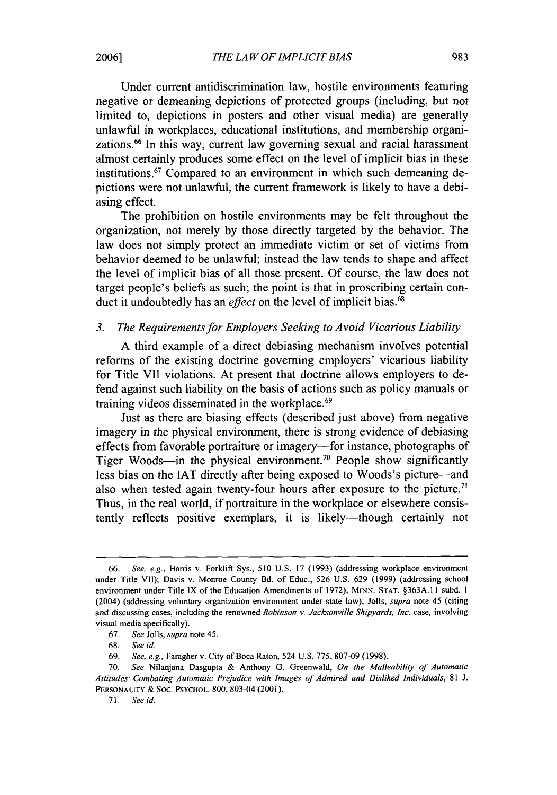Under current antidiscrimination law, hostile environments featuring negative or demeaning depictions of protected groups (including, but not limited to, depictions in posters and other visual media) are generally unlawful in workplaces, educational institutions, and membership organizations.<sup>66</sup> In this way, current law governing sexual and racial harassment almost certainly produces some effect on the level of implicit bias in these institutions.<sup>67</sup> Compared to an environment in which such demeaning depictions were not unlawful, the current framework is likely to have a debiasing effect.

The prohibition on hostile environments may be felt throughout the organization, not merely by those directly targeted by the behavior. The law does not simply protect an immediate victim or set of victims from behavior deemed to be unlawful; instead the law tends to shape and affect the level of implicit bias of all those present. Of course, the law does not target people's beliefs as such; the point is that in proscribing certain conduct it undoubtedly has an *effect* on the level of implicit bias.<sup>68</sup>

#### *3. The Requirements for Employers Seeking to Avoid Vicarious Liability*

A third example of a direct debiasing mechanism involves potential reforms of the existing doctrine governing employers' vicarious liability for Title VII violations. At present that doctrine allows employers to defend against such liability on the basis of actions such as policy manuals or training videos disseminated in the workplace.<sup>69</sup>

Just as there are biasing effects (described just above) from negative imagery in the physical environment, there is strong evidence of debiasing effects from favorable portraiture or imagery-for instance, photographs of Tiger Woods-in the physical environment.<sup>70</sup> People show significantly less bias on the IAT directly after being exposed to Woods's picture—and also when tested again twenty-four hours after exposure to the picture.<sup>7</sup> Thus, in the real world, if portraiture in the workplace or elsewhere consistently reflects positive exemplars, it is likely---though certainly not

<sup>66.</sup> See, e.g., Harris v. Forklift Sys., 510 U.S. **17** (1993) (addressing workplace environment under Title VII); Davis v. Monroe County Bd. of Educ., 526 U.S. 629 (1999) (addressing school environment under Title IX of the Education Amendments of 1972); **MINN. STAT.** §363A.1 **I** subd. **1** (2004) (addressing voluntary organization environment under state law); Jolls, supra note 45 (citing and discussing cases, including the renowned Robinson *v. Jacksonville Shipyards, Inc.* case, involving visual media specifically).

**<sup>67.</sup>** *See* Jolls, *supra* note 45.

<sup>68.</sup> *See id.*

<sup>69.</sup> *See, e.g.,* Faragher v. City of Boca Raton, 524 U.S. 775, 807-09 (1998).

**<sup>70.</sup>** *See* Nilanjana Dasgupta & Anthony G. Greenwald, *On the Malleability of Automatic Attitudes: Combating Automatic Prejudice with Images of Admired and Disliked Individuals,* 81 J. PERSONALITY & **SOC.** PSYCHOL. **800,** 803-04 (2001).

<sup>71.</sup> *See id.*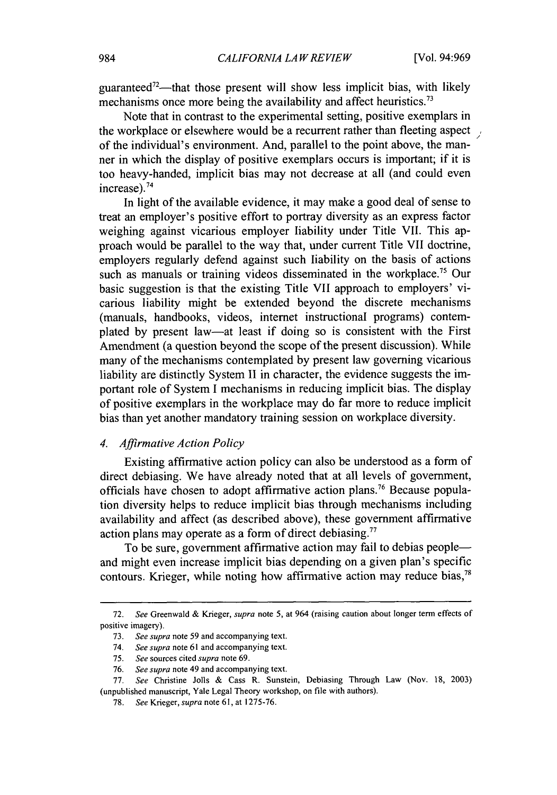guaranteed<sup> $72$ </sup>—that those present will show less implicit bias, with likely mechanisms once more being the availability and affect heuristics.73

Note that in contrast to the experimental setting, positive exemplars in the workplace or elsewhere would be a recurrent rather than fleeting aspect of the individual's environment. And, parallel to the point above, the manner in which the display of positive exemplars occurs is important; if it is too heavy-handed, implicit bias may not decrease at all (and could even increase).<sup>74</sup>

In light of the available evidence, it may make a good deal of sense to treat an employer's positive effort to portray diversity as an express factor weighing against vicarious employer liability under Title VII. This approach would be parallel to the way that, under current Title VII doctrine, employers regularly defend against such liability on the basis of actions such as manuals or training videos disseminated in the workplace.<sup>75</sup> Our basic suggestion is that the existing Title VII approach to employers' vicarious liability might be extended beyond the discrete mechanisms (manuals, handbooks, videos, internet instructional programs) contemplated by present law-at least if doing so is consistent with the First Amendment (a question beyond the scope of the present discussion). While many of the mechanisms contemplated by present law governing vicarious liability are distinctly System II in character, the evidence suggests the important role of System I mechanisms in reducing implicit bias. The display of positive exemplars in the workplace may do far more to reduce implicit bias than yet another mandatory training session on workplace diversity.

#### *4. Affirmative Action Policy*

Existing affirmative action policy can also be understood as a form of direct debiasing. We have already noted that at all levels of government, officials have chosen to adopt affirmative action plans.<sup>76</sup> Because population diversity helps to reduce implicit bias through mechanisms including availability and affect (as described above), these government affirmative action plans may operate as a form of direct debiasing.<sup>77</sup>

To be sure, government affirmative action may fail to debias people and might even increase implicit bias depending on a given plan's specific contours. Krieger, while noting how affirmative action may reduce bias,<sup>78</sup>

<sup>72.</sup> *See* Greenwald & Krieger, *supra* note **5,** at 964 (raising caution about longer term effects of positive imagery).

<sup>73.</sup> *See supra* note 59 and accompanying text.

<sup>74.</sup> *See supra* note 61 and accompanying text.

<sup>75.</sup> *See* sources cited *supra* note 69.

<sup>76.</sup> *See supra* note 49 and accompanying text.

<sup>77.</sup> *See* Christine Jolls & Cass R. Sunstein, Debiasing Through Law (Nov. 18, 2003) (unpublished manuscript, Yale Legal Theory workshop, on file with authors).

<sup>78.</sup> *See* Krieger, *supra* note 61, at 1275-76.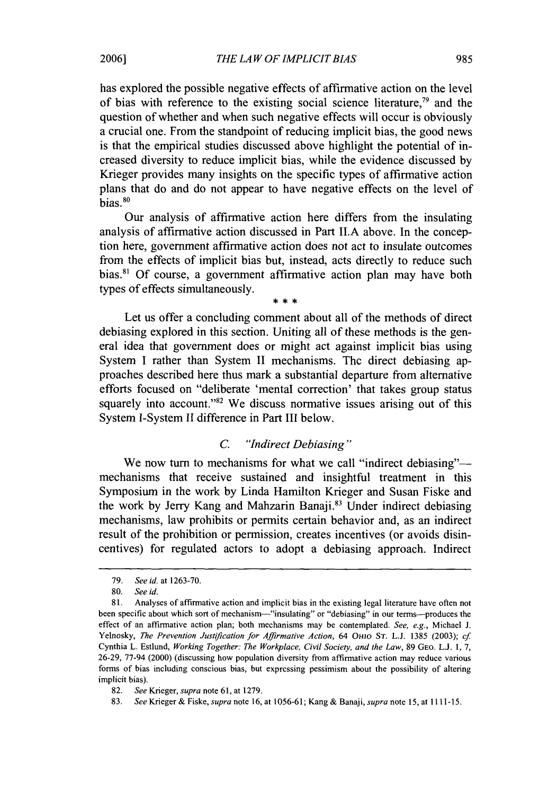has explored the possible negative effects of affirmative action on the level of bias with reference to the existing social science literature,<sup>79</sup> and the question of whether and when such negative effects will occur is obviously a crucial one. From the standpoint of reducing implicit bias, the good news is that the empirical studies discussed above highlight the potential of increased diversity to reduce implicit bias, while the evidence discussed by Krieger provides many insights on the specific types of affirmative action plans that do and do not appear to have negative effects on the level of bias. $80$ 

Our analysis of affirmative action here differs from the insulating analysis of affirmative action discussed in Part II.A above. In the conception here, government affirmative action does not act to insulate outcomes from the effects of implicit bias but, instead, acts directly to reduce such bias.81 Of course, a government affirmative action plan may have both types of effects simultaneously.

\* \* \*

Let us offer a concluding comment about all of the methods of direct debiasing explored in this section. Uniting all of these methods is the general idea that government does or might act against implicit bias using System I rather than System II mechanisms. The direct debiasing approaches described here thus mark a substantial departure from alternative efforts focused on "deliberate 'mental correction' that takes group status squarely into account."<sup>82</sup> We discuss normative issues arising out of this System I-System II difference in Part III below.

## *C. "Indirect Debiasing"*

We now turn to mechanisms for what we call "indirect debiasing"-mechanisms that receive sustained and insightful treatment in this Symposium in the work by Linda Hamilton Krieger and Susan Fiske and the work by Jerry Kang and Mahzarin Banaji.<sup>83</sup> Under indirect debiasing mechanisms, law prohibits or permits certain behavior and, as an indirect result of the prohibition or permission, creates incentives (or avoids disincentives) for regulated actors to adopt a debiasing approach. Indirect

<sup>79.</sup> *See id.* at 1263-70.

<sup>80.</sup> *See id.*

<sup>81.</sup> Analyses of affirmative action and implicit bias in the existing legal literature have often not been specific about which sort of mechanism--"insulating" or "debiasing" in our terms--produces the effect of an affirmative action plan; both mechanisms may be contemplated. *See, e.g.,* Michael J. Yelnosky, *The Prevention Justification for Affirmative Action,* 64 OHIo ST. L.J. 1385 (2003); *cf* Cynthia L. Estlund, *Working Together: The Workplace, Civil Society, and the Law,* 89 GEO. **L.J.** 1, 7, 26-29, 77-94 (2000) (discussing how population diversity from affirmative action may reduce various forms of bias including conscious bias, but expressing pessimism about the possibility of altering implicit bias).

<sup>82.</sup> *See* Krieger, *supra* note **61,** at 1279.

<sup>83.</sup> *See* Krieger & Fiske, *supra* note 16, at 1056-61; Kang & Banaji, *supra* note 15, at 1111-15.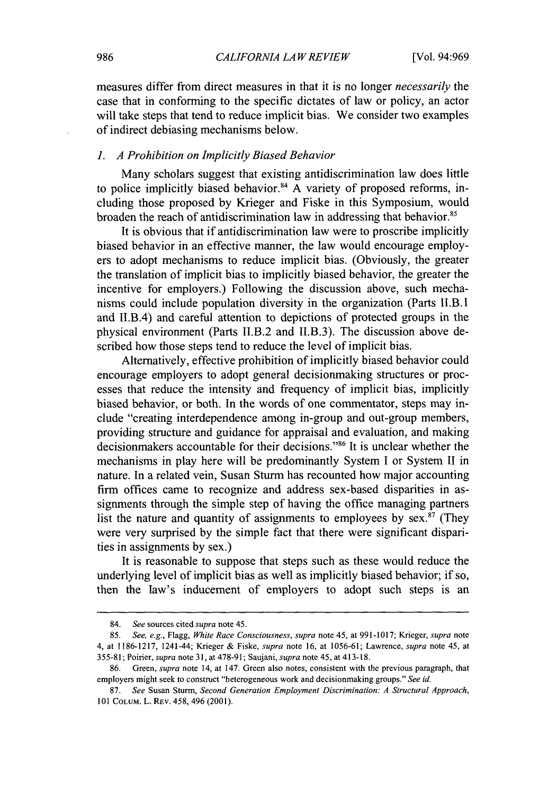measures differ from direct measures in that it is no longer *necessarily* the case that in conforming to the specific dictates of law or policy, an actor will take steps that tend to reduce implicit bias. We consider two examples of indirect debiasing mechanisms below.

### *1. A Prohibition on Implicitly Biased Behavior*

Many scholars suggest that existing antidiscrimination law does little to police implicitly biased behavior.<sup>84</sup> A variety of proposed reforms, including those proposed by Krieger and Fiske in this Symposium, would broaden the reach of antidiscrimination law in addressing that behavior.<sup>85</sup>

It is obvious that if antidiscrimination law were to proscribe implicitly biased behavior in an effective manner, the law would encourage employers to adopt mechanisms to reduce implicit bias. (Obviously, the greater the translation of implicit bias to implicitly biased behavior, the greater the incentive for employers.) Following the discussion above, such mechanisms could include population diversity in the organization (Parts II.B. 1 and II.B.4) and careful attention to depictions of protected groups in the physical environment (Parts II.B.2 and II.B.3). The discussion above described how those steps tend to reduce the level of implicit bias.

Alternatively, effective prohibition of implicitly biased behavior could encourage employers to adopt general decisionmaking structures or processes that reduce the intensity and frequency of implicit bias, implicitly biased behavior, or both. In the words of one commentator, steps may include "creating interdependence among in-group and out-group members, providing structure and guidance for appraisal and evaluation, and making decisionmnakers accountable for their decisions."86 It is unclear whether the mechanisms in play here will be predominantly System I or System II in nature. In a related vein, Susan Sturm has recounted how major accounting firm offices came to recognize and address sex-based disparities in assignments through the simple step of having the office managing partners list the nature and quantity of assignments to employees by  $sex.\overline{87}$  (They were very surprised by the simple fact that there were significant disparities in assignments by sex.)

It is reasonable to suppose that steps such as these would reduce the underlying level of implicit bias as well as implicitly biased behavior; if so, then the law's inducement of employers to adopt such steps is an

<sup>84.</sup> *See* sources cited *supra* note 45.

<sup>85.</sup> *See, e.g.,* Flagg, *White Race Consciousness, supra* note 45, at 991-1017; Krieger, *supra* note 4, at 1186-1217, 1241-44; Krieger & Fiske, *supra* note 16, at 1056-61; Lawrence, *supra* note 45, at 355-81; Poirier, *supra* note 31, at 478-91; Saujani, *supra* note 45, at 413-18.

<sup>86.</sup> Green, *supra* note 14, at 147. Green also notes, consistent with the previous paragraph, that employers might seek to construct "heterogeneous work and decisionmaking groups." *See id.*

<sup>87.</sup> *See* Susan Sturm, *Second Generation Employment Discrimination: A Structural Approach,* 101 **COLUM.** L. REV. 458, 496 (2001).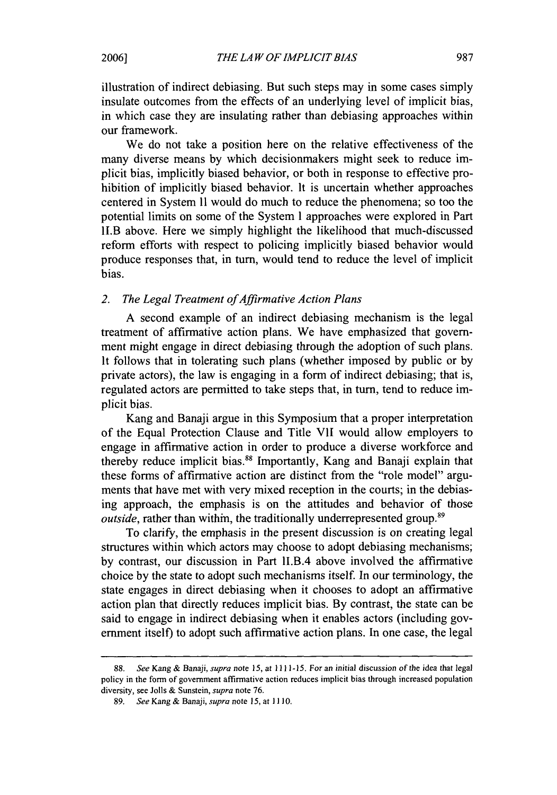illustration of indirect debiasing. But such steps may in some cases simply insulate outcomes from the effects of an underlying level of implicit bias, in which case they are insulating rather than debiasing approaches within our framework.

We do not take a position here on the relative effectiveness of the many diverse means by which decisionmakers might seek to reduce implicit bias, implicitly biased behavior, or both in response to effective prohibition of implicitly biased behavior. It is uncertain whether approaches centered in System II would do much to reduce the phenomena; so too the potential limits on some of the System I approaches were explored in Part II.B above. Here we simply highlight the likelihood that much-discussed reform efforts with respect to policing implicitly biased behavior would produce responses that, in turn, would tend to reduce the level of implicit bias.

#### *2. The Legal Treatment of Affirmative Action Plans*

A second example of an indirect debiasing mechanism is the legal treatment of affirmative action plans. We have emphasized that government might engage in direct debiasing through the adoption of such plans. It follows that in tolerating such plans (whether imposed by public or by private actors), the law is engaging in a form of indirect debiasing; that is, regulated actors are permitted to take steps that, in turn, tend to reduce implicit bias.

Kang and Banaji argue in this Symposium that a proper interpretation of the Equal Protection Clause and Title VII would allow employers to engage in affirmative action in order to produce a diverse workforce and thereby reduce implicit bias.<sup>88</sup> Importantly, Kang and Banaji explain that these forms of affirmative action are distinct from the "role model" arguments that have met with very mixed reception in the courts; in the debiasing approach, the emphasis is on the attitudes and behavior of those *outside*, rather than within, the traditionally underrepresented group.<sup>89</sup>

To clarify, the emphasis in the present discussion is on creating legal structures within which actors may choose to adopt debiasing mechanisms; by contrast, our discussion in Part II.B.4 above involved the affirmative choice by the state to adopt such mechanisms itself. In our terminology, the state engages in direct debiasing when it chooses to adopt an affirmative action plan that directly reduces implicit bias. By contrast, the state can be said to engage in indirect debiasing when it enables actors (including government itself) to adopt such affirmative action plans. In one case, the legal

<sup>88.</sup> *See Kang* & *Banaji, supra note 15,* at *1111-15. For an* initial discussion of the idea that legal policy in the form of government affirmative action reduces implicit bias through increased population diversity, see Jolls & Sunstein, *supra* note 76.

<sup>89.</sup> *See Kang* & Banaji, *supra note* 15, at 1110.